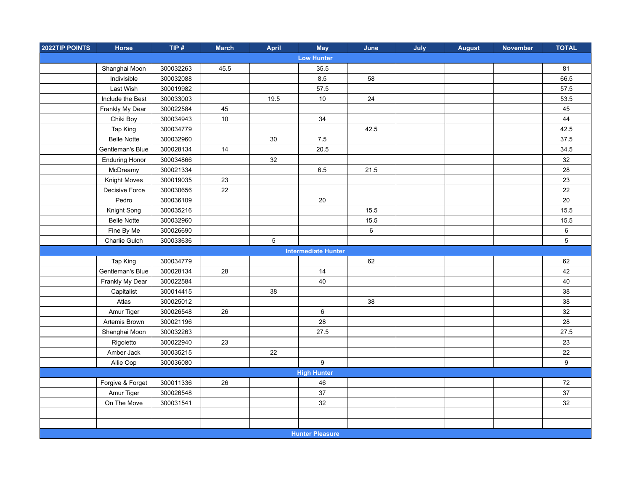| 2022TIP POINTS | <b>Horse</b>          | TIP#      | <b>March</b> | April          | <b>May</b>                 | June | July | <b>August</b> | <b>November</b> | <b>TOTAL</b> |
|----------------|-----------------------|-----------|--------------|----------------|----------------------------|------|------|---------------|-----------------|--------------|
|                |                       |           |              |                | <b>Low Hunter</b>          |      |      |               |                 |              |
|                | Shanghai Moon         | 300032263 | 45.5         |                | 35.5                       |      |      |               |                 | 81           |
|                | Indivisible           | 300032088 |              |                | 8.5                        | 58   |      |               |                 | 66.5         |
|                | Last Wish             | 300019982 |              |                | 57.5                       |      |      |               |                 | 57.5         |
|                | Include the Best      | 300033003 |              | 19.5           | 10                         | 24   |      |               |                 | 53.5         |
|                | Frankly My Dear       | 300022584 | 45           |                |                            |      |      |               |                 | 45           |
|                | Chiki Boy             | 300034943 | $10\,$       |                | 34                         |      |      |               |                 | 44           |
|                | Tap King              | 300034779 |              |                |                            | 42.5 |      |               |                 | 42.5         |
|                | <b>Belle Notte</b>    | 300032960 |              | 30             | 7.5                        |      |      |               |                 | 37.5         |
|                | Gentleman's Blue      | 300028134 | 14           |                | 20.5                       |      |      |               |                 | 34.5         |
|                | <b>Enduring Honor</b> | 300034866 |              | 32             |                            |      |      |               |                 | $32\,$       |
|                | McDreamy              | 300021334 |              |                | 6.5                        | 21.5 |      |               |                 | 28           |
|                | Knight Moves          | 300019035 | 23           |                |                            |      |      |               |                 | 23           |
|                | Decisive Force        | 300030656 | 22           |                |                            |      |      |               |                 | 22           |
|                | Pedro                 | 300036109 |              |                | 20                         |      |      |               |                 | $20\,$       |
|                | Knight Song           | 300035216 |              |                |                            | 15.5 |      |               |                 | 15.5         |
|                | <b>Belle Notte</b>    | 300032960 |              |                |                            | 15.5 |      |               |                 | 15.5         |
|                | Fine By Me            | 300026690 |              |                |                            | 6    |      |               |                 | $\,6\,$      |
|                | Charlie Gulch         | 300033636 |              | $\overline{5}$ |                            |      |      |               |                 | $\,$ 5 $\,$  |
|                |                       |           |              |                | <b>Intermediate Hunter</b> |      |      |               |                 |              |
|                | Tap King              | 300034779 |              |                |                            | 62   |      |               |                 | 62           |
|                | Gentleman's Blue      | 300028134 | 28           |                | 14                         |      |      |               |                 | 42           |
|                | Frankly My Dear       | 300022584 |              |                | 40                         |      |      |               |                 | 40           |
|                | Capitalist            | 300014415 |              | 38             |                            |      |      |               |                 | 38           |
|                | Atlas                 | 300025012 |              |                |                            | 38   |      |               |                 | 38           |
|                | Amur Tiger            | 300026548 | 26           |                | 6                          |      |      |               |                 | 32           |
|                | Artemis Brown         | 300021196 |              |                | 28                         |      |      |               |                 | 28           |
|                | Shanghai Moon         | 300032263 |              |                | 27.5                       |      |      |               |                 | 27.5         |
|                | Rigoletto             | 300022940 | 23           |                |                            |      |      |               |                 | 23           |
|                | Amber Jack            | 300035215 |              | 22             |                            |      |      |               |                 | 22           |
|                | Allie Oop             | 300036080 |              |                | $\boldsymbol{9}$           |      |      |               |                 | 9            |
|                |                       |           |              |                | <b>High Hunter</b>         |      |      |               |                 |              |
|                | Forgive & Forget      | 300011336 | 26           |                | 46                         |      |      |               |                 | 72           |
|                | Amur Tiger            | 300026548 |              |                | 37                         |      |      |               |                 | $37\,$       |
|                | On The Move           | 300031541 |              |                | 32                         |      |      |               |                 | 32           |
|                |                       |           |              |                |                            |      |      |               |                 |              |
|                |                       |           |              |                |                            |      |      |               |                 |              |
|                |                       |           |              |                | <b>Hunter Pleasure</b>     |      |      |               |                 |              |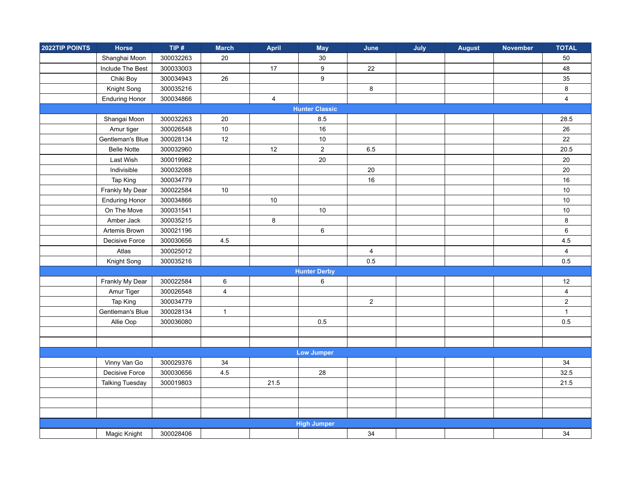| 2022TIP POINTS        | Horse                  | TIP $#$   | <b>March</b>            | April          | <b>May</b>          | June           | July | <b>August</b> | <b>November</b> | <b>TOTAL</b>            |
|-----------------------|------------------------|-----------|-------------------------|----------------|---------------------|----------------|------|---------------|-----------------|-------------------------|
|                       | Shanghai Moon          | 300032263 | 20                      |                | 30                  |                |      |               |                 | 50                      |
|                       | Include The Best       | 300033003 |                         | 17             | 9                   | 22             |      |               |                 | 48                      |
|                       | Chiki Boy              | 300034943 | 26                      |                | $\boldsymbol{9}$    |                |      |               |                 | 35                      |
|                       | Knight Song            | 300035216 |                         |                |                     | $\bf 8$        |      |               |                 | 8                       |
|                       | <b>Enduring Honor</b>  | 300034866 |                         | $\overline{4}$ |                     |                |      |               |                 | $\overline{4}$          |
| <b>Hunter Classic</b> |                        |           |                         |                |                     |                |      |               |                 |                         |
|                       | Shangai Moon           | 300032263 | 20                      |                | 8.5                 |                |      |               |                 | 28.5                    |
|                       | Amur tiger             | 300026548 | 10                      |                | 16                  |                |      |               |                 | 26                      |
|                       | Gentleman's Blue       | 300028134 | 12                      |                | $10$                |                |      |               |                 | 22                      |
|                       | <b>Belle Notte</b>     | 300032960 |                         | 12             | $\boldsymbol{2}$    | 6.5            |      |               |                 | 20.5                    |
|                       | Last Wish              | 300019982 |                         |                | 20                  |                |      |               |                 | 20                      |
|                       | Indivisible            | 300032088 |                         |                |                     | 20             |      |               |                 | 20                      |
|                       | Tap King               | 300034779 |                         |                |                     | 16             |      |               |                 | 16                      |
|                       | Frankly My Dear        | 300022584 | $10$                    |                |                     |                |      |               |                 | 10                      |
|                       | <b>Enduring Honor</b>  | 300034866 |                         | 10             |                     |                |      |               |                 | 10                      |
|                       | On The Move            | 300031541 |                         |                | $10$                |                |      |               |                 | 10                      |
|                       | Amber Jack             | 300035215 |                         | 8              |                     |                |      |               |                 | $\bf 8$                 |
|                       | Artemis Brown          | 300021196 |                         |                | 6                   |                |      |               |                 | $\,6\,$                 |
|                       | Decisive Force         | 300030656 | $4.5\,$                 |                |                     |                |      |               |                 | 4.5                     |
|                       | Atlas                  | 300025012 |                         |                |                     | $\overline{4}$ |      |               |                 | $\overline{\mathbf{4}}$ |
|                       | Knight Song            | 300035216 |                         |                |                     | 0.5            |      |               |                 | 0.5                     |
|                       |                        |           |                         |                | <b>Hunter Derby</b> |                |      |               |                 |                         |
|                       | Frankly My Dear        | 300022584 | $\,6\,$                 |                | 6                   |                |      |               |                 | 12                      |
|                       | Amur Tiger             | 300026548 | $\overline{\mathbf{4}}$ |                |                     |                |      |               |                 | $\overline{\mathbf{4}}$ |
|                       | Tap King               | 300034779 |                         |                |                     | $\overline{a}$ |      |               |                 | $\mathbf 2$             |
|                       | Gentleman's Blue       | 300028134 | $\mathbf{1}$            |                |                     |                |      |               |                 | $\mathbf{1}$            |
|                       | Allie Oop              | 300036080 |                         |                | 0.5                 |                |      |               |                 | 0.5                     |
|                       |                        |           |                         |                |                     |                |      |               |                 |                         |
|                       |                        |           |                         |                |                     |                |      |               |                 |                         |
|                       |                        |           |                         |                | <b>Low Jumper</b>   |                |      |               |                 |                         |
|                       | Vinny Van Go           | 300029376 | 34                      |                |                     |                |      |               |                 | 34                      |
|                       | Decisive Force         | 300030656 | 4.5                     |                | 28                  |                |      |               |                 | 32.5                    |
|                       | <b>Talking Tuesday</b> | 300019803 |                         | 21.5           |                     |                |      |               |                 | 21.5                    |
|                       |                        |           |                         |                |                     |                |      |               |                 |                         |
|                       |                        |           |                         |                |                     |                |      |               |                 |                         |
|                       |                        |           |                         |                |                     |                |      |               |                 |                         |
|                       |                        |           |                         |                | <b>High Jumper</b>  |                |      |               |                 |                         |
|                       | Magic Knight           | 300028406 |                         |                |                     | 34             |      |               |                 | 34                      |